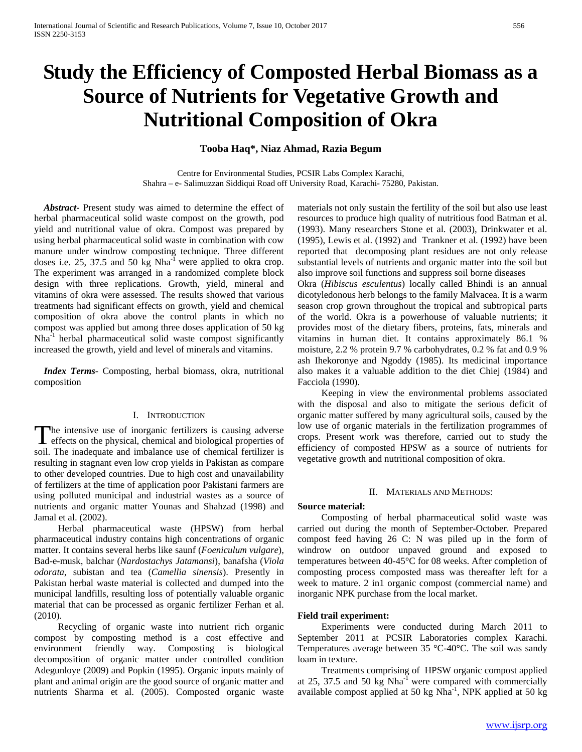# **Study the Efficiency of Composted Herbal Biomass as a Source of Nutrients for Vegetative Growth and Nutritional Composition of Okra**

# **Tooba Haq\*, Niaz Ahmad, Razia Begum**

Centre for Environmental Studies, PCSIR Labs Complex Karachi, Shahra – e- Salimuzzan Siddiqui Road off University Road, Karachi- 75280, Pakistan.

 *Abstract***-** Present study was aimed to determine the effect of herbal pharmaceutical solid waste compost on the growth, pod yield and nutritional value of okra. Compost was prepared by using herbal pharmaceutical solid waste in combination with cow manure under windrow composting technique. Three different doses i.e. 25, 37.5 and 50 kg  $Nha^{-1}$  were applied to okra crop. The experiment was arranged in a randomized complete block design with three replications. Growth, yield, mineral and vitamins of okra were assessed. The results showed that various treatments had significant effects on growth, yield and chemical composition of okra above the control plants in which no compost was applied but among three doses application of 50 kg Nha<sup>-1</sup> herbal pharmaceutical solid waste compost significantly increased the growth, yield and level of minerals and vitamins.

 *Index Terms*- Composting, herbal biomass, okra, nutritional composition

#### I. INTRODUCTION

The intensive use of inorganic fertilizers is causing adverse The intensive use of inorganic fertilizers is causing adverse<br>effects on the physical, chemical and biological properties of soil. The inadequate and imbalance use of chemical fertilizer is resulting in stagnant even low crop yields in Pakistan as compare to other developed countries. Due to high cost and unavailability of fertilizers at the time of application poor Pakistani farmers are using polluted municipal and industrial wastes as a source of nutrients and organic matter Younas and Shahzad (1998) and Jamal et al. (2002).

 Herbal pharmaceutical waste (HPSW) from herbal pharmaceutical industry contains high concentrations of organic matter. It contains several herbs like saunf (*Foeniculum vulgare*), Bad-e-musk, balchar (*Nardostachys Jatamansi*), banafsha (*Viola odorata*, subistan and tea (*Camellia sinensis*). Presently in Pakistan herbal waste material is collected and dumped into the municipal landfills, resulting loss of potentially valuable organic material that can be processed as organic fertilizer Ferhan et al. (2010).

 Recycling of organic waste into nutrient rich organic compost by composting method is a cost effective and environment friendly way. Composting is biological decomposition of organic matter under controlled condition Adegunloye (2009) and Popkin (1995). Organic inputs mainly of plant and animal origin are the good source of organic matter and nutrients Sharma et al. (2005). Composted organic waste

materials not only sustain the fertility of the soil but also use least resources to produce high quality of nutritious food Batman et al. (1993). Many researchers Stone et al. (2003), Drinkwater et al. (1995), Lewis et al. (1992) and Trankner et al. (1992) have been reported that decomposing plant residues are not only release substantial levels of nutrients and organic matter into the soil but also improve soil functions and suppress soil borne diseases

Okra (*Hibiscus esculentus*) locally called Bhindi is an annual dicotyledonous herb belongs to the family Malvacea. It is a warm season crop grown throughout the tropical and subtropical parts of the world. Okra is a powerhouse of valuable nutrients; it provides most of the dietary fibers, proteins, fats, minerals and vitamins in human diet. It contains approximately 86.1 % moisture, 2.2 % protein 9.7 % carbohydrates, 0.2 % fat and 0.9 % ash Ihekoronye and Ngoddy (1985). Its medicinal importance also makes it a valuable addition to the diet Chiej (1984) and Facciola (1990).

 Keeping in view the environmental problems associated with the disposal and also to mitigate the serious deficit of organic matter suffered by many agricultural soils, caused by the low use of organic materials in the fertilization programmes of crops. Present work was therefore, carried out to study the efficiency of composted HPSW as a source of nutrients for vegetative growth and nutritional composition of okra.

# II. MATERIALS AND METHODS:

### **Source material:**

 Composting of herbal pharmaceutical solid waste was carried out during the month of September-October. Prepared compost feed having 26 C: N was piled up in the form of windrow on outdoor unpaved ground and exposed to temperatures between 40-45°C for 08 weeks. After completion of composting process composted mass was thereafter left for a week to mature. 2 in1 organic compost (commercial name) and inorganic NPK purchase from the local market.

### **Field trail experiment:**

 Experiments were conducted during March 2011 to September 2011 at PCSIR Laboratories complex Karachi. Temperatures average between 35 °C-40°C. The soil was sandy loam in texture.

 Treatments comprising of HPSW organic compost applied at 25, 37.5 and 50 kg Nha-1 were compared with commercially available compost applied at 50 kg Nha<sup>-1</sup>, NPK applied at 50 kg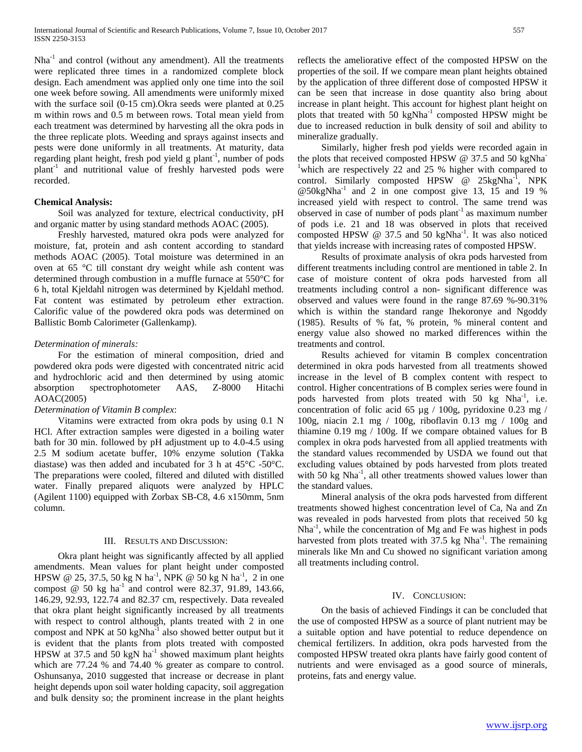$Nha^{-1}$  and control (without any amendment). All the treatments were replicated three times in a randomized complete block design. Each amendment was applied only one time into the soil one week before sowing. All amendments were uniformly mixed with the surface soil (0-15 cm).Okra seeds were planted at 0.25 m within rows and 0.5 m between rows. Total mean yield from each treatment was determined by harvesting all the okra pods in the three replicate plots. Weeding and sprays against insects and pests were done uniformly in all treatments. At maturity, data regarding plant height, fresh pod yield g plant<sup>-1</sup>, number of pods plant-1 and nutritional value of freshly harvested pods were recorded.

# **Chemical Analysis:**

 Soil was analyzed for texture, electrical conductivity, pH and organic matter by using standard methods AOAC (2005).

 Freshly harvested, matured okra pods were analyzed for moisture, fat, protein and ash content according to standard methods AOAC (2005). Total moisture was determined in an oven at 65 °C till constant dry weight while ash content was determined through combustion in a muffle furnace at 550°C for 6 h, total Kjeldahl nitrogen was determined by Kjeldahl method. Fat content was estimated by petroleum ether extraction. Calorific value of the powdered okra pods was determined on Ballistic Bomb Calorimeter (Gallenkamp).

## *Determination of minerals:*

 For the estimation of mineral composition, dried and powdered okra pods were digested with concentrated nitric acid and hydrochloric acid and then determined by using atomic absorption spectrophotometer AAS, Z-8000 Hitachi AOAC(2005)

# *Determination of Vitamin B complex*:

 Vitamins were extracted from okra pods by using 0.1 N HCl. After extraction samples were digested in a boiling water bath for 30 min. followed by pH adjustment up to 4.0-4.5 using 2.5 M sodium acetate buffer, 10% enzyme solution (Takka diastase) was then added and incubated for 3 h at 45°C -50°C. The preparations were cooled, filtered and diluted with distilled water. Finally prepared aliquots were analyzed by HPLC (Agilent 1100) equipped with Zorbax SB-C8, 4.6 x150mm, 5nm column.

### III. RESULTS AND DISCUSSION:

 Okra plant height was significantly affected by all applied amendments. Mean values for plant height under composted HPSW @ 25, 37.5, 50 kg N ha<sup>-1</sup>, NPK @ 50 kg N ha<sup>-1</sup>, 2 in one compost  $\omega$  50 kg ha<sup>-1</sup> and control were 82.37, 91.89, 143.66, 146.29, 92.93, 122.74 and 82.37 cm, respectively. Data revealed that okra plant height significantly increased by all treatments with respect to control although, plants treated with 2 in one compost and NPK at 50 kgNha $^{-1}$  also showed better output but it is evident that the plants from plots treated with composted HPSW at 37.5 and 50 kgN  $ha^{-1}$  showed maximum plant heights which are 77.24 % and 74.40 % greater as compare to control. Oshunsanya, 2010 suggested that increase or decrease in plant height depends upon soil water holding capacity, soil aggregation and bulk density so; the prominent increase in the plant heights

reflects the ameliorative effect of the composted HPSW on the properties of the soil. If we compare mean plant heights obtained by the application of three different dose of composted HPSW it can be seen that increase in dose quantity also bring about increase in plant height. This account for highest plant height on plots that treated with 50 kgNha<sup>-1</sup> composted HPSW might be due to increased reduction in bulk density of soil and ability to mineralize gradually.

 Similarly, higher fresh pod yields were recorded again in the plots that received composted HPSW @ 37.5 and 50 kgNha<sup>-</sup> <sup>1</sup>which are respectively 22 and 25 % higher with compared to control. Similarly composted HPSW @ 25kgNha<sup>-1</sup>, NPK  $@50kgNha<sup>-1</sup>$  and 2 in one compost give 13, 15 and 19 % increased yield with respect to control. The same trend was observed in case of number of pods  $plant<sup>-1</sup>$  as maximum number of pods i.e. 21 and 18 was observed in plots that received composted HPSW  $@{37.5}$  and 50 kgNha<sup>-1</sup>. It was also noticed that yields increase with increasing rates of composted HPSW.

 Results of proximate analysis of okra pods harvested from different treatments including control are mentioned in table 2. In case of moisture content of okra pods harvested from all treatments including control a non- significant difference was observed and values were found in the range 87.69 %-90.31% which is within the standard range Ihekoronye and Ngoddy (1985). Results of % fat, % protein, % mineral content and energy value also showed no marked differences within the treatments and control.

 Results achieved for vitamin B complex concentration determined in okra pods harvested from all treatments showed increase in the level of B complex content with respect to control. Higher concentrations of B complex series were found in pods harvested from plots treated with 50 kg Nha<sup>-1</sup>, i.e. concentration of folic acid 65 µg / 100g, pyridoxine 0.23 mg / 100g, niacin 2.1 mg / 100g, riboflavin 0.13 mg / 100g and thiamine 0.19 mg / 100g. If we compare obtained values for B complex in okra pods harvested from all applied treatments with the standard values recommended by USDA we found out that excluding values obtained by pods harvested from plots treated with 50 kg Nha<sup>-1</sup>, all other treatments showed values lower than the standard values.

 Mineral analysis of the okra pods harvested from different treatments showed highest concentration level of Ca, Na and Zn was revealed in pods harvested from plots that received 50 kg Nha<sup>-1</sup>, while the concentration of Mg and Fe was highest in pods harvested from plots treated with  $37.5$  kg Nha<sup>-1</sup>. The remaining minerals like Mn and Cu showed no significant variation among all treatments including control.

### IV. CONCLUSION:

 On the basis of achieved Findings it can be concluded that the use of composted HPSW as a source of plant nutrient may be a suitable option and have potential to reduce dependence on chemical fertilizers. In addition, okra pods harvested from the composted HPSW treated okra plants have fairly good content of nutrients and were envisaged as a good source of minerals, proteins, fats and energy value.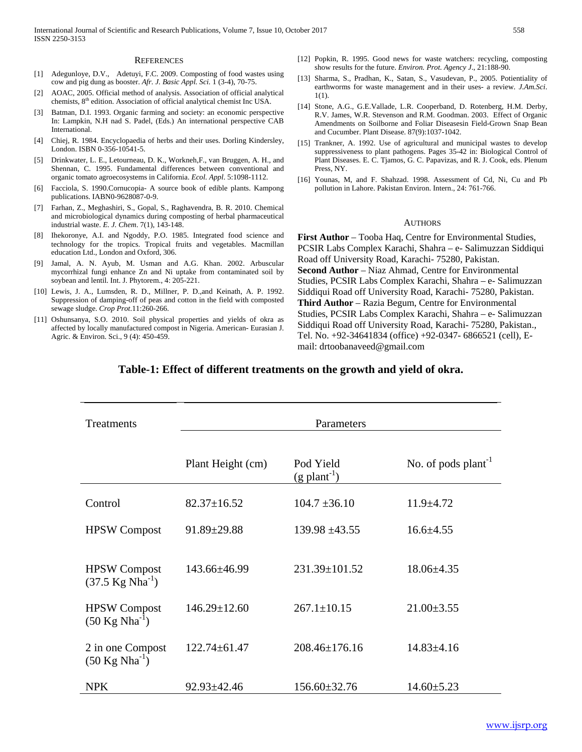#### **REFERENCES**

- [1] Adegunloye, D.V., Adetuyi, F.C. 2009. Composting of food wastes using cow and pig dung as booster. *Afr. J. Basic Appl. Sci.* 1 (3-4), 70-75.
- [2] AOAC, 2005. Official method of analysis. Association of official analytical chemists,  $8<sup>th</sup>$  edition. Association of official analytical chemist Inc USA.
- [3] Batman, D.I. 1993. Organic farming and society: an economic perspective In: Lampkin, N.H nad S. Padel, (Eds.) An international perspective CAB International.
- [4] Chiej, R. 1984. Encyclopaedia of herbs and their uses. Dorling Kindersley, London. ISBN 0-356-10541-5.
- [5] Drinkwater, L. E., Letourneau, D. K., Workneh,F., van Bruggen, A. H., and Shennan, C. 1995. Fundamental differences between conventional and organic tomato agroecosystems in California. *Ecol. Appl*. 5:1098-1112.
- [6] Facciola, S. 1990.Cornucopia- A source book of edible plants. Kampong publications. IABN0-9628087-0-9.
- [7] Farhan, Z., Meghashiri, S., Gopal, S., Raghavendra, B. R. 2010. Chemical and microbiological dynamics during composting of herbal pharmaceutical industrial waste. *E. J. Chem*. 7(1), 143-148.
- [8] Ihekoronye, A.I. and Ngoddy, P.O. 1985. Integrated food science and technology for the tropics. Tropical fruits and vegetables. Macmillan education Ltd., London and Oxford, 306.
- [9] Jamal, A. N. Ayub, M. Usman and A.G. Khan. 2002. Arbuscular mycorrhizal fungi enhance Zn and Ni uptake from contaminated soil by soybean and lentil. Int. J. Phytorem., 4: 205-221.
- [10] Lewis, J. A., Lumsden, R. D., Millner, P. D., and Keinath, A. P. 1992. Suppression of damping-off of peas and cotton in the field with composted sewage sludge. *Crop Prot*.11:260-266.
- [11] Oshunsanya, S.O. 2010. Soil physical properties and yields of okra as affected by locally manufactured compost in Nigeria. American- Eurasian J. Agric. & Environ. Sci., 9 (4): 450-459.
- [12] Popkin, R. 1995. Good news for waste watchers: recycling, composting show results for the future. *Environ. Prot. Agency J*., 21:188-90.
- [13] Sharma, S., Pradhan, K., Satan, S., Vasudevan, P., 2005. Potientiality of earthworms for waste management and in their uses- a review*. J.Am.Sci*. 1(1).
- [14] Stone, A.G., G.E.Vallade, L.R. Cooperband, D. Rotenberg, H.M. Derby, R.V. James, W.R. Stevenson and R.M. Goodman. 2003. Effect of Organic Amendments on Soilborne and Foliar Diseasesin Field-Grown Snap Bean and Cucumber. Plant Disease. 87(9):1037-1042.
- [15] Trankner, A. 1992. Use of agricultural and municipal wastes to develop suppressiveness to plant pathogens. Pages 35-42 in: Biological Control of Plant Diseases. E. C. Tjamos, G. C. Papavizas, and R. J. Cook, eds. Plenum Press, NY.
- [16] Younas, M, and F. Shahzad. 1998. Assessment of Cd, Ni, Cu and Pb pollution in Lahore. Pakistan Environ. Intern., 24: 761-766.

#### AUTHORS

**First Author** – Tooba Haq, Centre for Environmental Studies, PCSIR Labs Complex Karachi, Shahra – e- Salimuzzan Siddiqui Road off University Road, Karachi- 75280, Pakistan. **Second Author** – Niaz Ahmad, Centre for Environmental Studies, PCSIR Labs Complex Karachi, Shahra – e- Salimuzzan Siddiqui Road off University Road, Karachi- 75280, Pakistan. **Third Author** – Razia Begum, Centre for Environmental Studies, PCSIR Labs Complex Karachi, Shahra – e- Salimuzzan Siddiqui Road off University Road, Karachi- 75280, Pakistan., Tel. No. +92-34641834 (office) +92-0347- 6866521 (cell), Email: drtoobanaveed@gmail.com

# **Table-1: Effect of different treatments on the growth and yield of okra.**

| Treatments                                          | Parameters         |                                         |                          |  |  |  |  |
|-----------------------------------------------------|--------------------|-----------------------------------------|--------------------------|--|--|--|--|
|                                                     | Plant Height (cm)  | Pod Yield<br>$(g$ plant <sup>-1</sup> ) | No. of pods $plant^{-1}$ |  |  |  |  |
| Control                                             | $82.37 \pm 16.52$  | $104.7 \pm 36.10$                       | $11.9 + 4.72$            |  |  |  |  |
| <b>HPSW</b> Compost                                 | 91.89±29.88        | $139.98 \pm 43.55$                      | $16.6 \pm 4.55$          |  |  |  |  |
| <b>HPSW</b> Compost<br>$(37.5 \text{ Kg Nha}^{-1})$ | 143.66±46.99       | $231.39 \pm 101.52$                     | $18.06 \pm 4.35$         |  |  |  |  |
| <b>HPSW</b> Compost<br>$(50 \text{ Kg Nha}^{-1})$   | $146.29 \pm 12.60$ | $267.1 \pm 10.15$                       | $21.00 \pm 3.55$         |  |  |  |  |
| 2 in one Compost<br>$(50 \text{ Kg Nha}^{-1})$      | $122.74 \pm 61.47$ | $208.46 \pm 176.16$                     | $14.83 \pm 4.16$         |  |  |  |  |
| <b>NPK</b>                                          | $92.93 \pm 42.46$  | 156.60±32.76                            | $14.60 \pm 5.23$         |  |  |  |  |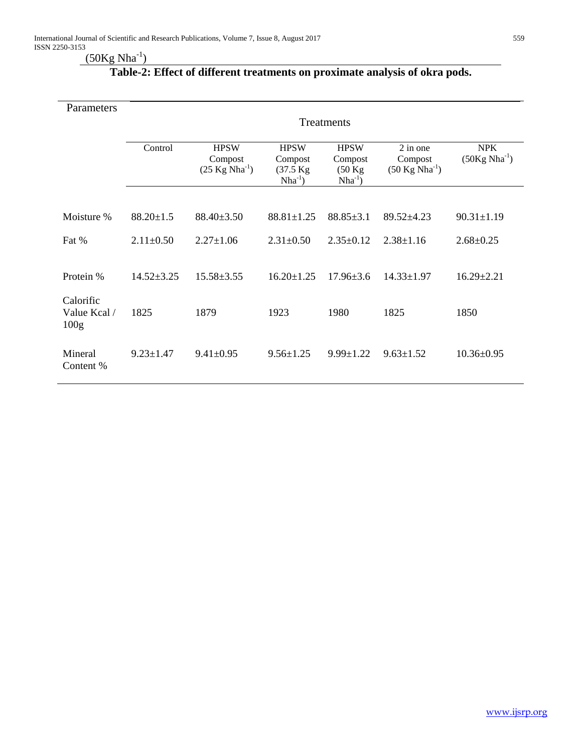# $(50\text{Kg Nha}^{-1})$

| Parameters                                    | Treatments       |                                                      |                                                     |                                                             |                                                   |                                 |  |
|-----------------------------------------------|------------------|------------------------------------------------------|-----------------------------------------------------|-------------------------------------------------------------|---------------------------------------------------|---------------------------------|--|
|                                               | Control          | <b>HPSW</b><br>Compost<br>$(25 \text{ Kg Nha}^{-1})$ | <b>HPSW</b><br>Compost<br>(37.5 Kg)<br>$Nha^{-1}$ ) | <b>HPSW</b><br>Compost<br>$(50 \text{ kg})$<br>$Nha^{-1}$ ) | 2 in one<br>Compost<br>$(50 \text{ Kg Nha}^{-1})$ | <b>NPK</b><br>$(50Kg Nha^{-1})$ |  |
|                                               |                  |                                                      |                                                     |                                                             |                                                   |                                 |  |
| Moisture %                                    | $88.20 \pm 1.5$  | $88.40 \pm 3.50$                                     | $88.81 \pm 1.25$                                    | $88.85 \pm 3.1$                                             | $89.52 \pm 4.23$                                  | $90.31 \pm 1.19$                |  |
| Fat %                                         | $2.11 \pm 0.50$  | $2.27 \pm 1.06$                                      | $2.31 \pm 0.50$                                     | $2.35 \pm 0.12$                                             | $2.38 \pm 1.16$                                   | $2.68 \pm 0.25$                 |  |
| Protein %                                     | $14.52 \pm 3.25$ | $15.58 \pm 3.55$                                     | $16.20 \pm 1.25$                                    | $17.96 \pm 3.6$                                             | $14.33 \pm 1.97$                                  | $16.29 \pm 2.21$                |  |
| Calorific<br>Value Kcal /<br>100 <sub>g</sub> | 1825             | 1879                                                 | 1923                                                | 1980                                                        | 1825                                              | 1850                            |  |
| Mineral<br>Content %                          | $9.23 \pm 1.47$  | $9.41 \pm 0.95$                                      | $9.56 \pm 1.25$                                     | $9.99 \pm 1.22$                                             | $9.63 \pm 1.52$                                   | $10.36 \pm 0.95$                |  |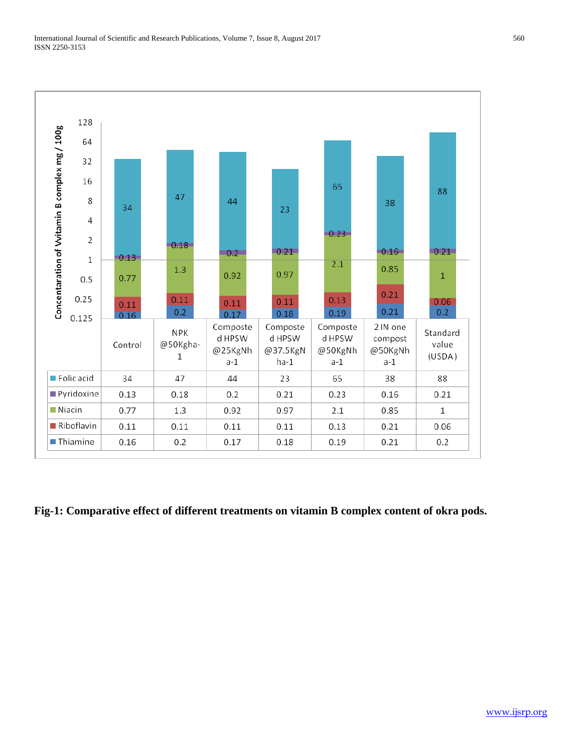

**Fig-1: Comparative effect of different treatments on vitamin B complex content of okra pods.**